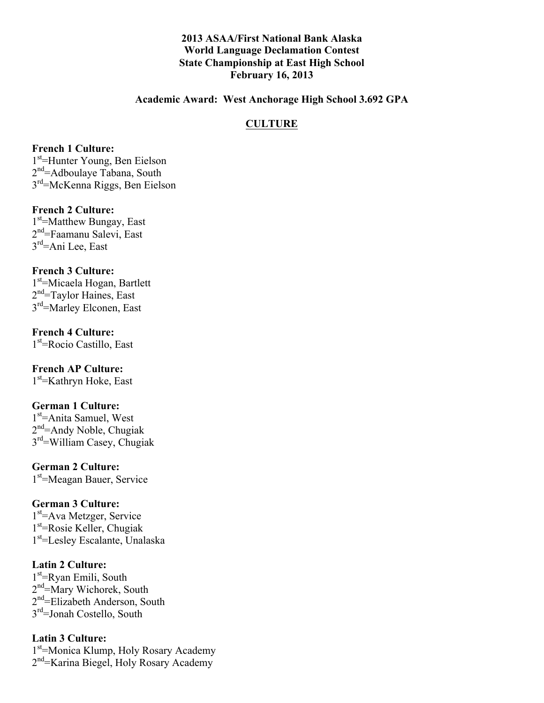### **2013 ASAA/First National Bank Alaska World Language Declamation Contest State Championship at East High School February 16, 2013**

#### **Academic Award: West Anchorage High School 3.692 GPA**

### **CULTURE**

#### **French 1 Culture:**

1st=Hunter Young, Ben Eielson 2<sup>nd</sup>=Adboulaye Tabana, South 3rd=McKenna Riggs, Ben Eielson

#### **French 2 Culture:**

1<sup>st</sup>=Matthew Bungay, East 2nd=Faamanu Salevi, East  $3<sup>rd</sup>=$ Ani Lee, East

#### **French 3 Culture:**

1<sup>st</sup>=Micaela Hogan, Bartlett 2<sup>nd</sup>=Taylor Haines, East 3<sup>rd</sup>=Marley Elconen, East

# **French 4 Culture:**

1st=Rocio Castillo, East

# **French AP Culture:**

1st=Kathryn Hoke, East

#### **German 1 Culture:**

1<sup>st</sup>=Anita Samuel, West  $2<sup>nd</sup>=$ Andy Noble, Chugiak 3rd=William Casey, Chugiak

**German 2 Culture:** 1<sup>st</sup>=Meagan Bauer, Service

### **German 3 Culture:**

1<sup>st</sup>=Ava Metzger, Service 1st=Rosie Keller, Chugiak 1<sup>st</sup>=Lesley Escalante, Unalaska

#### **Latin 2 Culture:**

1<sup>st</sup>=Ryan Emili, South 2<sup>nd</sup>=Mary Wichorek, South 2<sup>nd</sup>=Elizabeth Anderson, South 3<sup>rd</sup>=Jonah Costello, South

#### **Latin 3 Culture:**

1<sup>st</sup>=Monica Klump, Holy Rosary Academy 2<sup>nd</sup>=Karina Biegel, Holy Rosary Academy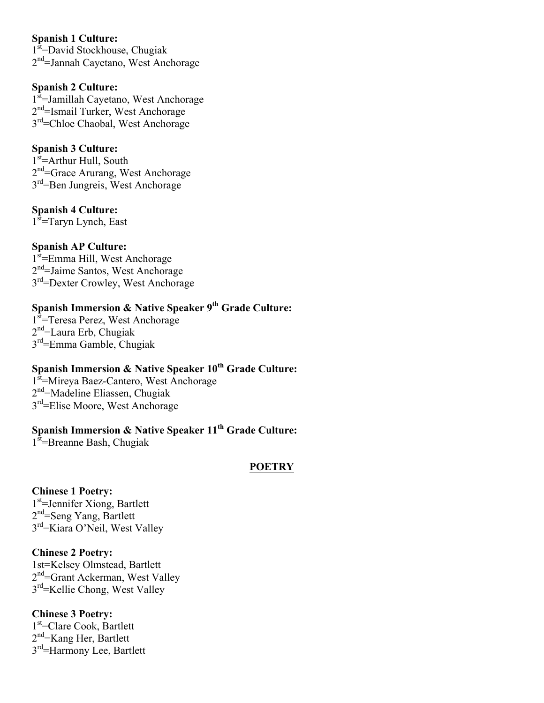### **Spanish 1 Culture:**

1<sup>st</sup>=David Stockhouse, Chugiak  $2<sup>nd</sup>=$ Jannah Cayetano, West Anchorage

# **Spanish 2 Culture:**

1<sup>st</sup>=Jamillah Cayetano, West Anchorage 2<sup>nd</sup>=Ismail Turker, West Anchorage 3<sup>rd</sup>=Chloe Chaobal, West Anchorage

# **Spanish 3 Culture:**

1<sup>st</sup>=Arthur Hull, South  $2<sup>nd</sup>=Grace Arurang, West Anchorage$ 3<sup>rd</sup>=Ben Jungreis, West Anchorage

# **Spanish 4 Culture:**

1<sup>st</sup>=Taryn Lynch, East

# **Spanish AP Culture:**

1<sup>st</sup>=Emma Hill, West Anchorage 2<sup>nd</sup>=Jaime Santos, West Anchorage 3<sup>rd</sup>=Dexter Crowley, West Anchorage

# **Spanish Immersion & Native Speaker 9th Grade Culture:**

1<sup>st</sup>=Teresa Perez, West Anchorage  $2<sup>nd</sup>=Laura Erb, Chugiak$ 3rd=Emma Gamble, Chugiak

# **Spanish Immersion & Native Speaker 10<sup>th</sup> Grade Culture:**

1<sup>st</sup>=Mireya Baez-Cantero, West Anchorage 2nd=Madeline Eliassen, Chugiak 3<sup>rd</sup>=Elise Moore, West Anchorage

# **Spanish Immersion & Native Speaker 11<sup>th</sup> Grade Culture:**

 $1<sup>st</sup>=$ Breanne Bash, Chugiak

# **POETRY**

# **Chinese 1 Poetry:**

1<sup>st</sup>=Jennifer Xiong, Bartlett 2<sup>nd</sup>=Seng Yang, Bartlett 3rd=Kiara O'Neil, West Valley

# **Chinese 2 Poetry:**

1st=Kelsey Olmstead, Bartlett 2<sup>nd</sup>=Grant Ackerman, West Valley 3rd=Kellie Chong, West Valley

# **Chinese 3 Poetry:**

1<sup>st</sup>=Clare Cook, Bartlett 2nd=Kang Her, Bartlett 3<sup>rd</sup>=Harmony Lee, Bartlett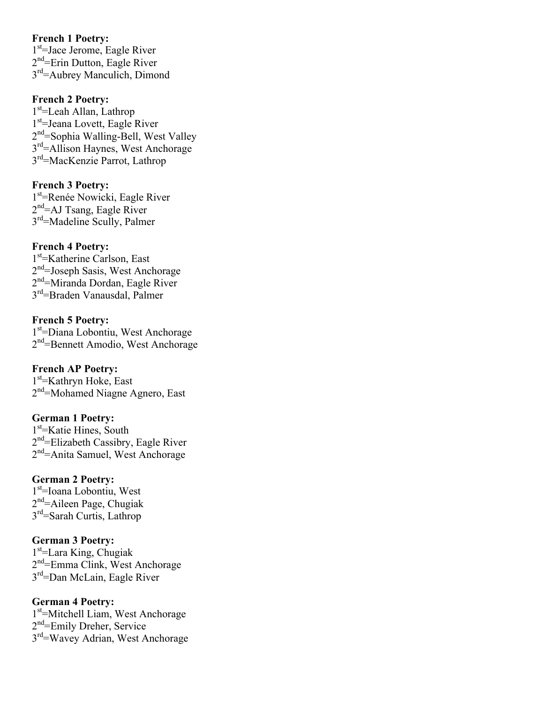#### **French 1 Poetry:**

1<sup>st</sup>=Jace Jerome, Eagle River 2<sup>nd</sup>=Erin Dutton, Eagle River 3rd=Aubrey Manculich, Dimond

#### **French 2 Poetry:**

1<sup>st</sup>=Leah Allan, Lathrop 1st=Jeana Lovett, Eagle River 2<sup>nd</sup>=Sophia Walling-Bell, West Valley 3<sup>rd</sup>=Allison Haynes, West Anchorage 3rd=MacKenzie Parrot, Lathrop

# **French 3 Poetry:**

1<sup>st</sup>=Renée Nowicki, Eagle River  $2<sup>nd</sup>=AJ$  Tsang, Eagle River 3rd=Madeline Scully, Palmer

### **French 4 Poetry:**

1<sup>st</sup>=Katherine Carlson, East 2<sup>nd</sup>=Joseph Sasis, West Anchorage 2nd=Miranda Dordan, Eagle River 3rd=Braden Vanausdal, Palmer

### **French 5 Poetry:**

1st =Diana Lobontiu, West Anchorage 2<sup>nd</sup>=Bennett Amodio, West Anchorage

#### **French AP Poetry:**

1st =Kathryn Hoke, East 2<sup>nd</sup>=Mohamed Niagne Agnero, East

#### **German 1 Poetry:**

1<sup>st</sup>=Katie Hines, South  $2<sup>nd</sup>=Elizable$  Cassibry, Eagle River 2<sup>nd</sup>=Anita Samuel, West Anchorage

# **German 2 Poetry:**

1<sup>st</sup>=Ioana Lobontiu, West  $2<sup>nd</sup>=$ Aileen Page, Chugiak 3rd=Sarah Curtis, Lathrop

#### **German 3 Poetry:**

1<sup>st</sup>=Lara King, Chugiak 2nd=Emma Clink, West Anchorage 3rd=Dan McLain, Eagle River

### **German 4 Poetry:**

1<sup>st</sup>=Mitchell Liam, West Anchorage 2<sup>nd</sup>=Emily Dreher, Service 3rd=Wavey Adrian, West Anchorage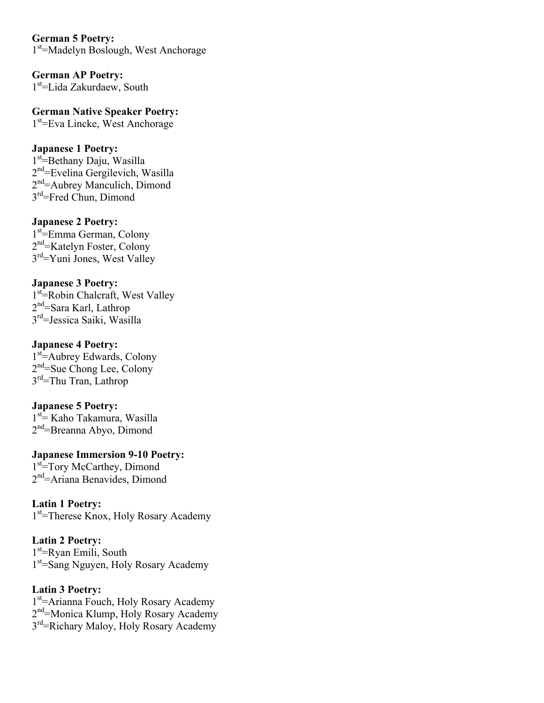**German 5 Poetry:** 1<sup>st</sup>=Madelyn Boslough, West Anchorage

**German AP Poetry:**  $1<sup>st</sup>=$ Lida Zakurdaew, South

**German Native Speaker Poetry:** 1<sup>st</sup>=Eva Lincke, West Anchorage

### **Japanese 1 Poetry:**

1<sup>st</sup>=Bethany Daju, Wasilla  $2<sup>nd</sup>$ =Evelina Gergilevich, Wasilla 2<sup>nd</sup>=Aubrey Manculich, Dimond 3<sup>rd</sup>=Fred Chun, Dimond

#### **Japanese 2 Poetry:**

1<sup>st</sup>=Emma German, Colony 2nd=Katelyn Foster, Colony 3<sup>rd</sup>=Yuni Jones, West Valley

### **Japanese 3 Poetry:**

1<sup>st</sup> Robin Chalcraft, West Valley 2<sup>nd</sup>=Sara Karl, Lathrop 3rd=Jessica Saiki, Wasilla

#### **Japanese 4 Poetry:**

1<sup>st</sup>=Aubrey Edwards, Colony 2<sup>nd</sup>=Sue Chong Lee, Colony  $3<sup>rd</sup>=Thu Tran, Lathrop$ 

#### **Japanese 5 Poetry:**

1<sup>st</sup> Kaho Takamura, Wasilla 2<sup>nd</sup>=Breanna Abyo, Dimond

**Japanese Immersion 9-10 Poetry:** 1<sup>st</sup>=Tory McCarthey, Dimond 2nd=Ariana Benavides, Dimond

**Latin 1 Poetry:** 1<sup>st</sup>=Therese Knox, Holy Rosary Academy

**Latin 2 Poetry:** 1<sup>st</sup>=Ryan Emili, South 1<sup>st</sup>=Sang Nguyen, Holy Rosary Academy

**Latin 3 Poetry:** 1<sup>st</sup>=Arianna Fouch, Holy Rosary Academy 2<sup>nd</sup>=Monica Klump, Holy Rosary Academy 3<sup>rd</sup>=Richary Maloy, Holy Rosary Academy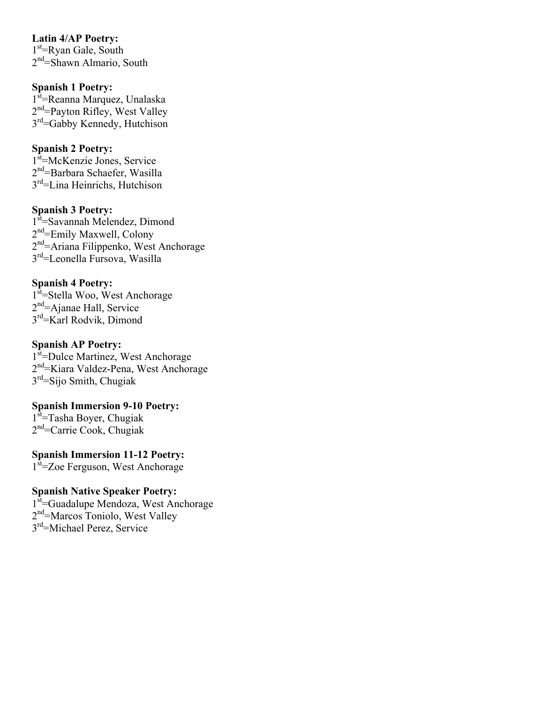**Latin 4/AP Poetry:** 1<sup>st</sup>=Ryan Gale, South  $2<sup>nd</sup>=$ Shawn Almario, South

**Spanish 1 Poetry:**

1<sup>st</sup>=Reanna Marquez, Unalaska 2<sup>nd</sup>=Payton Rifley, West Valley 3<sup>rd</sup>=Gabby Kennedy, Hutchison

### **Spanish 2 Poetry:**

1<sup>st</sup>=McKenzie Jones, Service  $2<sup>nd</sup>=Barbara Schaefer, Wasilla$ 3rd=Lina Heinrichs, Hutchison

#### **Spanish 3 Poetry:**

1<sup>st</sup>=Savannah Melendez, Dimond 2<sup>nd</sup>=Emily Maxwell, Colony 2nd=Ariana Filippenko, West Anchorage 3rd=Leonella Fursova, Wasilla

#### **Spanish 4 Poetry:**

1<sup>st</sup>=Stella Woo, West Anchorage 2nd=Ajanae Hall, Service 3<sup>rd</sup>=Karl Rodvik, Dimond

### **Spanish AP Poetry:**

1<sup>st</sup>=Dulce Martinez, West Anchorage 2nd=Kiara Valdez-Pena, West Anchorage  $3<sup>rd</sup>=Sijo Smith, Chugiak$ 

# **Spanish Immersion 9-10 Poetry:**

1<sup>st</sup>=Tasha Boyer, Chugiak 2nd=Carrie Cook, Chugiak

**Spanish Immersion 11-12 Poetry:** 1<sup>st</sup>=Zoe Ferguson, West Anchorage

#### **Spanish Native Speaker Poetry:**

1<sup>st</sup>=Guadalupe Mendoza, West Anchorage 2<sup>nd</sup>=Marcos Toniolo, West Valley 3rd=Michael Perez, Service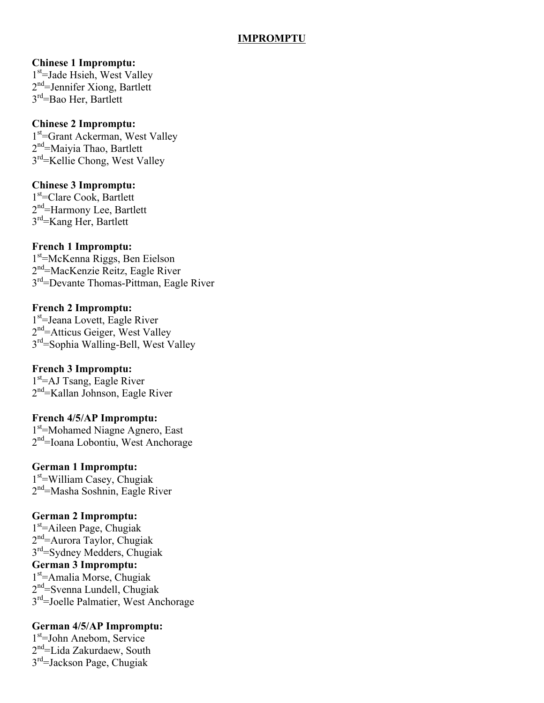### **IMPROMPTU**

#### **Chinese 1 Impromptu:**

1<sup>st</sup>=Jade Hsieh, West Valley 2<sup>nd</sup>=Jennifer Xiong, Bartlett 3<sup>rd</sup>=Bao Her, Bartlett

#### **Chinese 2 Impromptu:**

1<sup>st</sup>=Grant Ackerman, West Valley 2<sup>nd</sup>=Maiyia Thao, Bartlett 3rd=Kellie Chong, West Valley

#### **Chinese 3 Impromptu:**

1<sup>st</sup>=Clare Cook, Bartlett 2<sup>nd</sup>=Harmony Lee, Bartlett 3rd=Kang Her, Bartlett

#### **French 1 Impromptu:**

1st =McKenna Riggs, Ben Eielson 2nd=MacKenzie Reitz, Eagle River 3<sup>rd</sup>=Devante Thomas-Pittman, Eagle River

#### **French 2 Impromptu:**

1<sup>st</sup>=Jeana Lovett, Eagle River  $2<sup>nd</sup>$ =Atticus Geiger, West Valley 3rd=Sophia Walling-Bell, West Valley

#### **French 3 Impromptu:**

1<sup>st</sup>=AJ Tsang, Eagle River 2nd=Kallan Johnson, Eagle River

#### **French 4/5/AP Impromptu:**

1<sup>st</sup>=Mohamed Niagne Agnero, East 2<sup>nd</sup>=Ioana Lobontiu, West Anchorage

#### **German 1 Impromptu:**

1<sup>st</sup>=William Casey, Chugiak 2<sup>nd</sup>=Masha Soshnin, Eagle River

#### **German 2 Impromptu:**

1st =Aileen Page, Chugiak 2nd=Aurora Taylor, Chugiak 3rd=Sydney Medders, Chugiak **German 3 Impromptu:** 1st =Amalia Morse, Chugiak 2nd=Svenna Lundell, Chugiak 3rd=Joelle Palmatier, West Anchorage

#### **German 4/5/AP Impromptu:**

1st =John Anebom, Service 2nd=Lida Zakurdaew, South  $3<sup>rd</sup>=$ Jackson Page, Chugiak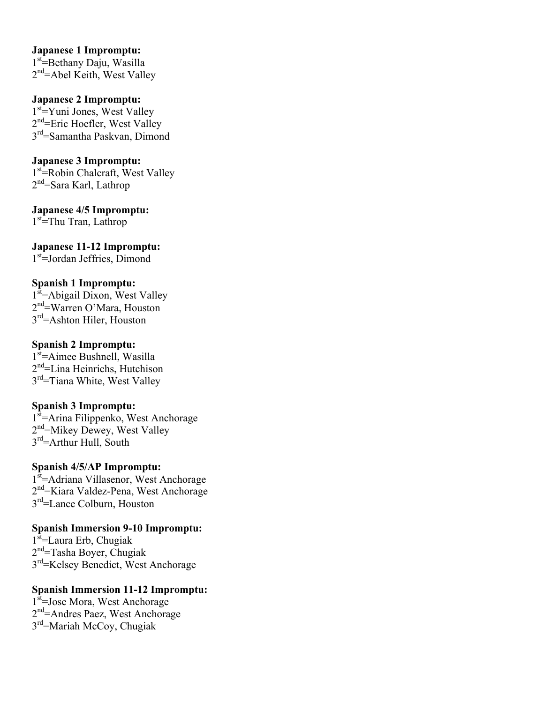#### **Japanese 1 Impromptu:**

1<sup>st</sup>=Bethany Daju, Wasilla  $2<sup>nd</sup>$ =Abel Keith, West Valley

### **Japanese 2 Impromptu:**

1<sup>st</sup>=Yuni Jones, West Valley 2<sup>nd</sup>=Eric Hoefler, West Valley 3rd=Samantha Paskvan, Dimond

#### **Japanese 3 Impromptu:**

1<sup>st</sup> Robin Chalcraft, West Valley  $2<sup>nd</sup>=Sara Karl, Lathrop$ 

**Japanese 4/5 Impromptu:** 1<sup>st</sup>=Thu Tran, Lathrop

**Japanese 11-12 Impromptu:** 1<sup>st</sup>=Jordan Jeffries, Dimond

#### **Spanish 1 Impromptu:**

1<sup>st</sup>=Abigail Dixon, West Valley 2nd=Warren O'Mara, Houston  $3<sup>rd</sup>=$ Ashton Hiler, Houston

#### **Spanish 2 Impromptu:**

1<sup>st</sup>=Aimee Bushnell, Wasilla  $2<sup>nd</sup>=$ Lina Heinrichs, Hutchison 3<sup>rd</sup>=Tiana White, West Valley

#### **Spanish 3 Impromptu:**

1<sup>st</sup>=Arina Filippenko, West Anchorage 2<sup>nd</sup>=Mikey Dewey, West Valley 3<sup>rd</sup>=Arthur Hull, South

#### **Spanish 4/5/AP Impromptu:**

1<sup>st</sup>=Adriana Villasenor, West Anchorage 2<sup>nd</sup>=Kiara Valdez-Pena, West Anchorage 3<sup>rd</sup>=Lance Colburn, Houston

#### **Spanish Immersion 9-10 Impromptu:**

1<sup>st</sup>=Laura Erb, Chugiak  $2<sup>nd</sup>=Tasha Boyer, Chugiak$ 3rd=Kelsey Benedict, West Anchorage

# **Spanish Immersion 11-12 Impromptu:**

1<sup>st</sup>=Jose Mora, West Anchorage 2<sup>nd</sup>=Andres Paez, West Anchorage 3rd=Mariah McCoy, Chugiak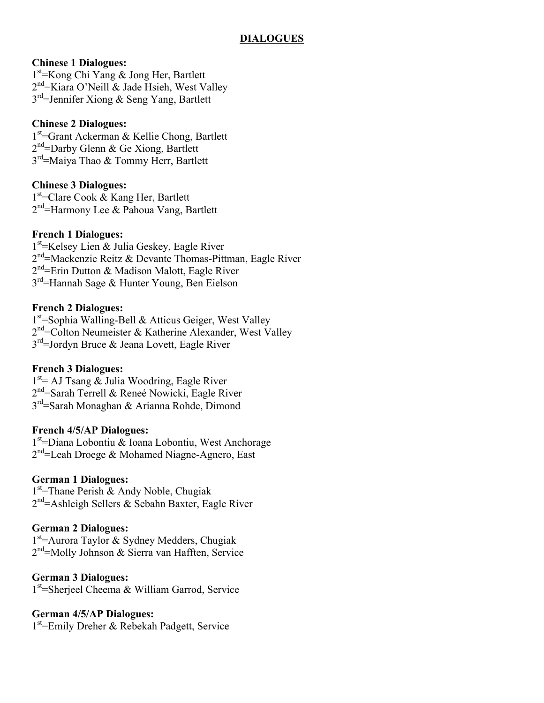# **Chinese 1 Dialogues:**

1<sup>st</sup> = Kong Chi Yang & Jong Her, Bartlett  $2<sup>nd</sup>$ =Kiara O'Neill & Jade Hsieh, West Valley  $3<sup>rd</sup>=$  Jennifer Xiong & Seng Yang, Bartlett

# **Chinese 2 Dialogues:**

1<sup>st</sup>=Grant Ackerman & Kellie Chong, Bartlett  $2<sup>nd</sup>=$ Darby Glenn & Ge Xiong, Bartlett 3<sup>rd</sup>=Maiya Thao & Tommy Herr, Bartlett

# **Chinese 3 Dialogues:**

1<sup>st</sup>=Clare Cook & Kang Her, Bartlett  $2<sup>nd</sup>$ =Harmony Lee & Pahoua Vang, Bartlett

# **French 1 Dialogues:**

1<sup>st</sup> = Kelsey Lien & Julia Geskey, Eagle River  $2<sup>nd</sup>$ =Mackenzie Reitz & Devante Thomas-Pittman, Eagle River  $2<sup>nd</sup>$ =Erin Dutton & Madison Malott, Eagle River 3<sup>rd</sup>=Hannah Sage & Hunter Young, Ben Eielson

# **French 2 Dialogues:**

1<sup>st</sup>=Sophia Walling-Bell & Atticus Geiger, West Valley  $2<sup>nd</sup>=$ Colton Neumeister & Katherine Alexander, West Valley  $3<sup>rd</sup>=$ Jordyn Bruce & Jeana Lovett, Eagle River

# **French 3 Dialogues:**

1<sup>st</sup> = AJ Tsang & Julia Woodring, Eagle River 2nd=Sarah Terrell & Reneé Nowicki, Eagle River 3<sup>rd</sup>=Sarah Monaghan & Arianna Rohde, Dimond

# **French 4/5/AP Dialogues:**

1st =Diana Lobontiu & Ioana Lobontiu, West Anchorage 2<sup>nd</sup>=Leah Droege & Mohamed Niagne-Agnero, East

# **German 1 Dialogues:**

1<sup>st</sup>=Thane Perish & Andy Noble, Chugiak  $2<sup>nd</sup>=$ Ashleigh Sellers & Sebahn Baxter, Eagle River

# **German 2 Dialogues:**

1<sup>st</sup>=Aurora Taylor & Sydney Medders, Chugiak 2nd=Molly Johnson & Sierra van Hafften, Service

# **German 3 Dialogues:**

1<sup>st</sup>=Sherjeel Cheema & William Garrod, Service

# **German 4/5/AP Dialogues:**

1<sup>st</sup>=Emily Dreher & Rebekah Padgett, Service